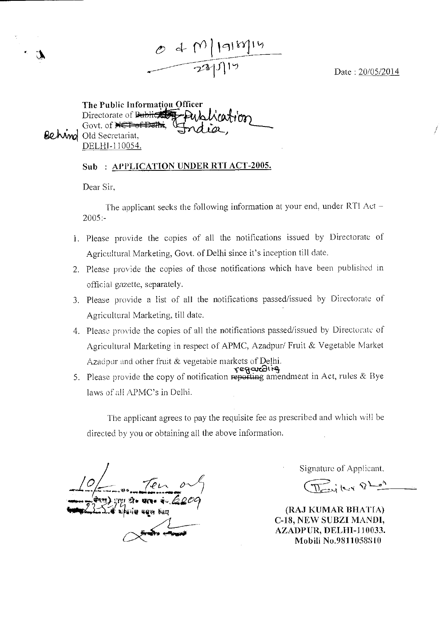Date : 20/05/2014

The Public Informatign Officer Directorate of Bublic Con Govt. of NET of Dethi, **Behvmol** Old Secretariat, DELHI-I10054. <sub>fficer</sub><br>Pup Lica<del>t</del>ion

Sub: APPLICATION UNDER RTI ACT-2005.

 $040$ ||9||88||14

Dear Sir,

The applicant seeks the following information at your end, under RTI Act —  $2005: -$ 

- 1. Please provide the copies of all the notifications issued by Directorate of Agricultural Marketing, Govt. of Delhi since it's inception till date.
- 2. Please provide the copies of those notifications which have been published in official gazette, separately.
- 3. Please provide a list of all the notifications passed/issued by Directorate of Agricultural Marketing, till date.
- 4. Please provide the copies of all the notifications passed/issued by Directorate of Agricultural Marketing in respect of APMC, Azadpur/ Fruit & Vegetable Market Azadpur and other fruit & vegetable markets of Delhi. eရု<del>သည</del>ါ
- 5. Please provide the copy of notification reporting amendment in Act, rules & Bye laws of all APMC's in Delhi.

The applicant agrees to pay the requisite fee as prescribed and which will be directed by you or obtaining all the above information.

<sup>4</sup>1 pie**' gas ifr 4420? Aite bosq**  *\_10* **PIA** *0* **•-/<sup>5</sup> -1411** 

Signature of Applicant,

 $\overline{\text{max}}$  level  $Q$  has

(RAJ KUMAR BHATIA) C-18, NEW **SUBZI MANDI, AZADPUR, DELHI-110033. Mobili** No.98110588 **[0**